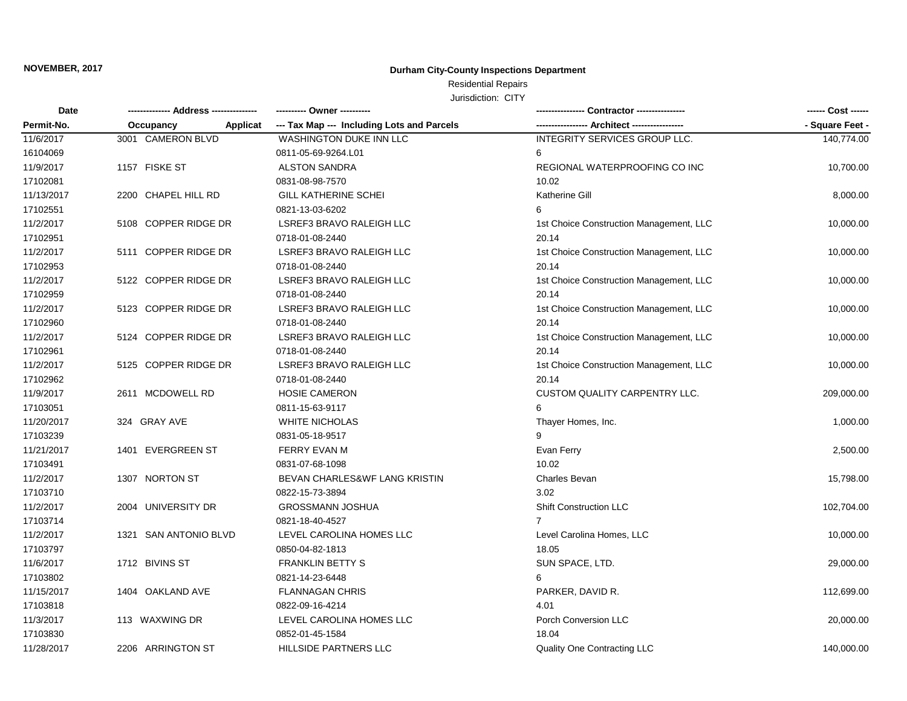## **Durham City-County Inspections Department**

#### Jurisdiction: CITY Residential Repairs

| JUISCICTION: UITY |  |  |
|-------------------|--|--|
|                   |  |  |

| Date       |                       |          | ---------- Owner ----------                |                                         | ------ Cost ------ |
|------------|-----------------------|----------|--------------------------------------------|-----------------------------------------|--------------------|
| Permit-No. | Occupancy             | Applicat | --- Tax Map --- Including Lots and Parcels | -- Architect -----                      | - Square Feet -    |
| 11/6/2017  | 3001 CAMERON BLVD     |          | <b>WASHINGTON DUKE INN LLC</b>             | INTEGRITY SERVICES GROUP LLC.           | 140,774.00         |
| 16104069   |                       |          | 0811-05-69-9264.L01                        | 6                                       |                    |
| 11/9/2017  | 1157 FISKE ST         |          | <b>ALSTON SANDRA</b>                       | REGIONAL WATERPROOFING CO INC           | 10,700.00          |
| 17102081   |                       |          | 0831-08-98-7570                            | 10.02                                   |                    |
| 11/13/2017 | 2200 CHAPEL HILL RD   |          | <b>GILL KATHERINE SCHEI</b>                | Katherine Gill                          | 8,000.00           |
| 17102551   |                       |          | 0821-13-03-6202                            | 6                                       |                    |
| 11/2/2017  | 5108 COPPER RIDGE DR  |          | LSREF3 BRAVO RALEIGH LLC                   | 1st Choice Construction Management, LLC | 10,000.00          |
| 17102951   |                       |          | 0718-01-08-2440                            | 20.14                                   |                    |
| 11/2/2017  | 5111 COPPER RIDGE DR  |          | LSREF3 BRAVO RALEIGH LLC                   | 1st Choice Construction Management, LLC | 10,000.00          |
| 17102953   |                       |          | 0718-01-08-2440                            | 20.14                                   |                    |
| 11/2/2017  | 5122 COPPER RIDGE DR  |          | LSREF3 BRAVO RALEIGH LLC                   | 1st Choice Construction Management, LLC | 10,000.00          |
| 17102959   |                       |          | 0718-01-08-2440                            | 20.14                                   |                    |
| 11/2/2017  | 5123 COPPER RIDGE DR  |          | LSREF3 BRAVO RALEIGH LLC                   | 1st Choice Construction Management, LLC | 10,000.00          |
| 17102960   |                       |          | 0718-01-08-2440                            | 20.14                                   |                    |
| 11/2/2017  | 5124 COPPER RIDGE DR  |          | <b>LSREF3 BRAVO RALEIGH LLC</b>            | 1st Choice Construction Management, LLC | 10,000.00          |
| 17102961   |                       |          | 0718-01-08-2440                            | 20.14                                   |                    |
| 11/2/2017  | 5125 COPPER RIDGE DR  |          | <b>LSREF3 BRAVO RALEIGH LLC</b>            | 1st Choice Construction Management, LLC | 10,000.00          |
| 17102962   |                       |          | 0718-01-08-2440                            | 20.14                                   |                    |
| 11/9/2017  | 2611 MCDOWELL RD      |          | <b>HOSIE CAMERON</b>                       | <b>CUSTOM QUALITY CARPENTRY LLC.</b>    | 209,000.00         |
| 17103051   |                       |          | 0811-15-63-9117                            | 6                                       |                    |
| 11/20/2017 | 324 GRAY AVE          |          | <b>WHITE NICHOLAS</b>                      | Thayer Homes, Inc.                      | 1,000.00           |
| 17103239   |                       |          | 0831-05-18-9517                            |                                         |                    |
| 11/21/2017 | 1401 EVERGREEN ST     |          | <b>FERRY EVAN M</b>                        | Evan Ferry                              | 2,500.00           |
| 17103491   |                       |          | 0831-07-68-1098                            | 10.02                                   |                    |
| 11/2/2017  | 1307 NORTON ST        |          | BEVAN CHARLES&WF LANG KRISTIN              | Charles Bevan                           | 15,798.00          |
| 17103710   |                       |          | 0822-15-73-3894                            | 3.02                                    |                    |
| 11/2/2017  | 2004 UNIVERSITY DR    |          | <b>GROSSMANN JOSHUA</b>                    | <b>Shift Construction LLC</b>           | 102,704.00         |
| 17103714   |                       |          | 0821-18-40-4527                            | $\overline{7}$                          |                    |
| 11/2/2017  | 1321 SAN ANTONIO BLVD |          | LEVEL CAROLINA HOMES LLC                   | Level Carolina Homes, LLC               | 10,000.00          |
| 17103797   |                       |          | 0850-04-82-1813                            | 18.05                                   |                    |
| 11/6/2017  | 1712 BIVINS ST        |          | <b>FRANKLIN BETTY S</b>                    | SUN SPACE, LTD.                         | 29,000.00          |
| 17103802   |                       |          | 0821-14-23-6448                            | 6                                       |                    |
| 11/15/2017 | 1404 OAKLAND AVE      |          | <b>FLANNAGAN CHRIS</b>                     | PARKER, DAVID R.                        | 112,699.00         |
| 17103818   |                       |          | 0822-09-16-4214                            | 4.01                                    |                    |
| 11/3/2017  | 113 WAXWING DR        |          | LEVEL CAROLINA HOMES LLC                   | Porch Conversion LLC                    | 20,000.00          |
| 17103830   |                       |          | 0852-01-45-1584                            | 18.04                                   |                    |
| 11/28/2017 | 2206 ARRINGTON ST     |          | HILLSIDE PARTNERS LLC                      | <b>Quality One Contracting LLC</b>      | 140,000.00         |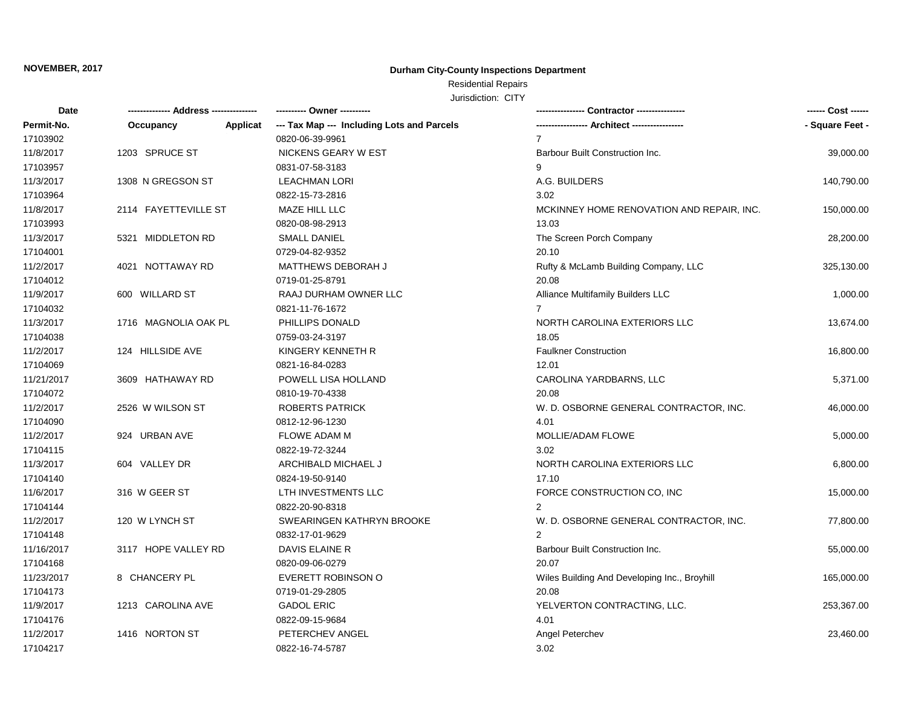## **Durham City-County Inspections Department**

## Residential Repairs

| Date       |                      |          | ---------- Owner ----------                |                                              | ------ Cost ------ |
|------------|----------------------|----------|--------------------------------------------|----------------------------------------------|--------------------|
| Permit-No. | Occupancy            | Applicat | --- Tax Map --- Including Lots and Parcels |                                              | - Square Feet -    |
| 17103902   |                      |          | 0820-06-39-9961                            | 7                                            |                    |
| 11/8/2017  | 1203 SPRUCE ST       |          | NICKENS GEARY W EST                        | Barbour Built Construction Inc.              | 39,000.00          |
| 17103957   |                      |          | 0831-07-58-3183                            | 9                                            |                    |
| 11/3/2017  | 1308 N GREGSON ST    |          | <b>LEACHMAN LORI</b>                       | A.G. BUILDERS                                | 140,790.00         |
| 17103964   |                      |          | 0822-15-73-2816                            | 3.02                                         |                    |
| 11/8/2017  | 2114 FAYETTEVILLE ST |          | MAZE HILL LLC                              | MCKINNEY HOME RENOVATION AND REPAIR, INC.    | 150,000.00         |
| 17103993   |                      |          | 0820-08-98-2913                            | 13.03                                        |                    |
| 11/3/2017  | 5321 MIDDLETON RD    |          | <b>SMALL DANIEL</b>                        | The Screen Porch Company                     | 28,200.00          |
| 17104001   |                      |          | 0729-04-82-9352                            | 20.10                                        |                    |
| 11/2/2017  | 4021 NOTTAWAY RD     |          | MATTHEWS DEBORAH J                         | Rufty & McLamb Building Company, LLC         | 325,130.00         |
| 17104012   |                      |          | 0719-01-25-8791                            | 20.08                                        |                    |
| 11/9/2017  | 600 WILLARD ST       |          | RAAJ DURHAM OWNER LLC                      | <b>Alliance Multifamily Builders LLC</b>     | 1,000.00           |
| 17104032   |                      |          | 0821-11-76-1672                            | 7                                            |                    |
| 11/3/2017  | 1716 MAGNOLIA OAK PL |          | PHILLIPS DONALD                            | NORTH CAROLINA EXTERIORS LLC                 | 13,674.00          |
| 17104038   |                      |          | 0759-03-24-3197                            | 18.05                                        |                    |
| 11/2/2017  | 124 HILLSIDE AVE     |          | KINGERY KENNETH R                          | <b>Faulkner Construction</b>                 | 16,800.00          |
| 17104069   |                      |          | 0821-16-84-0283                            | 12.01                                        |                    |
| 11/21/2017 | 3609 HATHAWAY RD     |          | POWELL LISA HOLLAND                        | CAROLINA YARDBARNS, LLC                      | 5,371.00           |
| 17104072   |                      |          | 0810-19-70-4338                            | 20.08                                        |                    |
| 11/2/2017  | 2526 W WILSON ST     |          | <b>ROBERTS PATRICK</b>                     | W. D. OSBORNE GENERAL CONTRACTOR, INC.       | 46,000.00          |
| 17104090   |                      |          | 0812-12-96-1230                            | 4.01                                         |                    |
| 11/2/2017  | 924 URBAN AVE        |          | <b>FLOWE ADAM M</b>                        | MOLLIE/ADAM FLOWE                            | 5,000.00           |
| 17104115   |                      |          | 0822-19-72-3244                            | 3.02                                         |                    |
| 11/3/2017  | 604 VALLEY DR        |          | ARCHIBALD MICHAEL J                        | NORTH CAROLINA EXTERIORS LLC                 | 6,800.00           |
| 17104140   |                      |          | 0824-19-50-9140                            | 17.10                                        |                    |
| 11/6/2017  | 316 W GEER ST        |          | LTH INVESTMENTS LLC                        | FORCE CONSTRUCTION CO, INC                   | 15,000.00          |
| 17104144   |                      |          | 0822-20-90-8318                            | 2                                            |                    |
| 11/2/2017  | 120 W LYNCH ST       |          | SWEARINGEN KATHRYN BROOKE                  | W. D. OSBORNE GENERAL CONTRACTOR, INC.       | 77,800.00          |
| 17104148   |                      |          | 0832-17-01-9629                            | $\overline{2}$                               |                    |
| 11/16/2017 | 3117 HOPE VALLEY RD  |          | DAVIS ELAINE R                             | Barbour Built Construction Inc.              | 55,000.00          |
| 17104168   |                      |          | 0820-09-06-0279                            | 20.07                                        |                    |
| 11/23/2017 | 8 CHANCERY PL        |          | <b>EVERETT ROBINSON O</b>                  | Wiles Building And Developing Inc., Broyhill | 165,000.00         |
| 17104173   |                      |          | 0719-01-29-2805                            | 20.08                                        |                    |
| 11/9/2017  | 1213 CAROLINA AVE    |          | <b>GADOL ERIC</b>                          | YELVERTON CONTRACTING, LLC.                  | 253,367.00         |
| 17104176   |                      |          | 0822-09-15-9684                            | 4.01                                         |                    |
| 11/2/2017  | 1416 NORTON ST       |          | PETERCHEV ANGEL                            | Angel Peterchev                              | 23,460.00          |
| 17104217   |                      |          | 0822-16-74-5787                            | 3.02                                         |                    |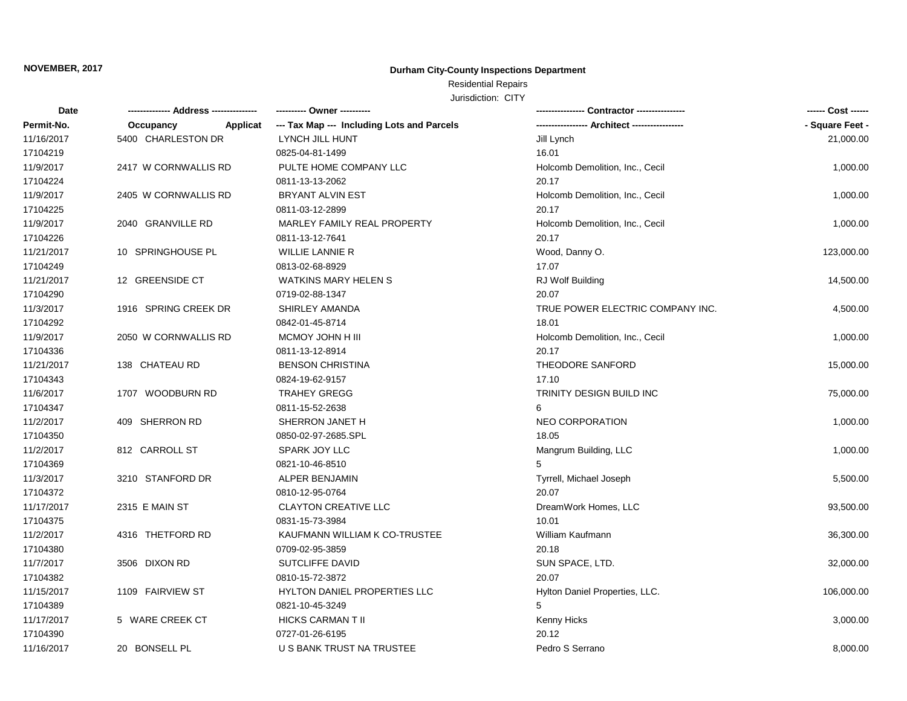## **Durham City-County Inspections Department**

# Residential Repairs

| Date       |                       | ---------- Owner ----------                | - Contractor ----------------    |                 |
|------------|-----------------------|--------------------------------------------|----------------------------------|-----------------|
| Permit-No. | Occupancy<br>Applicat | --- Tax Map --- Including Lots and Parcels | -- Architect ----------------    | - Square Feet - |
| 11/16/2017 | 5400 CHARLESTON DR    | LYNCH JILL HUNT                            | Jill Lynch                       | 21,000.00       |
| 17104219   |                       | 0825-04-81-1499                            | 16.01                            |                 |
| 11/9/2017  | 2417 W CORNWALLIS RD  | PULTE HOME COMPANY LLC                     | Holcomb Demolition, Inc., Cecil  | 1,000.00        |
| 17104224   |                       | 0811-13-13-2062                            | 20.17                            |                 |
| 11/9/2017  | 2405 W CORNWALLIS RD  | BRYANT ALVIN EST                           | Holcomb Demolition, Inc., Cecil  | 1,000.00        |
| 17104225   |                       | 0811-03-12-2899                            | 20.17                            |                 |
| 11/9/2017  | 2040 GRANVILLE RD     | MARLEY FAMILY REAL PROPERTY                | Holcomb Demolition, Inc., Cecil  | 1,000.00        |
| 17104226   |                       | 0811-13-12-7641                            | 20.17                            |                 |
| 11/21/2017 | 10 SPRINGHOUSE PL     | <b>WILLIE LANNIE R</b>                     | Wood, Danny O.                   | 123,000.00      |
| 17104249   |                       | 0813-02-68-8929                            | 17.07                            |                 |
| 11/21/2017 | 12 GREENSIDE CT       | <b>WATKINS MARY HELEN S</b>                | RJ Wolf Building                 | 14,500.00       |
| 17104290   |                       | 0719-02-88-1347                            | 20.07                            |                 |
| 11/3/2017  | 1916 SPRING CREEK DR  | SHIRLEY AMANDA                             | TRUE POWER ELECTRIC COMPANY INC. | 4,500.00        |
| 17104292   |                       | 0842-01-45-8714                            | 18.01                            |                 |
| 11/9/2017  | 2050 W CORNWALLIS RD  | MCMOY JOHN H III                           | Holcomb Demolition, Inc., Cecil  | 1,000.00        |
| 17104336   |                       | 0811-13-12-8914                            | 20.17                            |                 |
| 11/21/2017 | 138 CHATEAU RD        | <b>BENSON CHRISTINA</b>                    | THEODORE SANFORD                 | 15,000.00       |
| 17104343   |                       | 0824-19-62-9157                            | 17.10                            |                 |
| 11/6/2017  | 1707 WOODBURN RD      | TRAHEY GREGG                               | TRINITY DESIGN BUILD INC         | 75,000.00       |
| 17104347   |                       | 0811-15-52-2638                            | 6                                |                 |
| 11/2/2017  | 409 SHERRON RD        | SHERRON JANET H                            | <b>NEO CORPORATION</b>           | 1,000.00        |
| 17104350   |                       | 0850-02-97-2685.SPL                        | 18.05                            |                 |
| 11/2/2017  | 812 CARROLL ST        | SPARK JOY LLC                              | Mangrum Building, LLC            | 1,000.00        |
| 17104369   |                       | 0821-10-46-8510                            | 5                                |                 |
| 11/3/2017  | 3210 STANFORD DR      | ALPER BENJAMIN                             | Tyrrell, Michael Joseph          | 5,500.00        |
| 17104372   |                       | 0810-12-95-0764                            | 20.07                            |                 |
| 11/17/2017 | 2315 E MAIN ST        | <b>CLAYTON CREATIVE LLC</b>                | DreamWork Homes, LLC             | 93,500.00       |
| 17104375   |                       | 0831-15-73-3984                            | 10.01                            |                 |
| 11/2/2017  | 4316 THETFORD RD      | KAUFMANN WILLIAM K CO-TRUSTEE              | William Kaufmann                 | 36,300.00       |
| 17104380   |                       | 0709-02-95-3859                            | 20.18                            |                 |
| 11/7/2017  | 3506 DIXON RD         | SUTCLIFFE DAVID                            | SUN SPACE, LTD.                  | 32,000.00       |
| 17104382   |                       | 0810-15-72-3872                            | 20.07                            |                 |
| 11/15/2017 | 1109 FAIRVIEW ST      | HYLTON DANIEL PROPERTIES LLC               | Hylton Daniel Properties, LLC.   | 106,000.00      |
| 17104389   |                       | 0821-10-45-3249                            | 5                                |                 |
| 11/17/2017 | 5 WARE CREEK CT       | HICKS CARMAN T II                          | Kenny Hicks                      | 3,000.00        |
| 17104390   |                       | 0727-01-26-6195                            | 20.12                            |                 |
| 11/16/2017 | 20 BONSELL PL         | U S BANK TRUST NA TRUSTEE                  | Pedro S Serrano                  | 8,000.00        |
|            |                       |                                            |                                  |                 |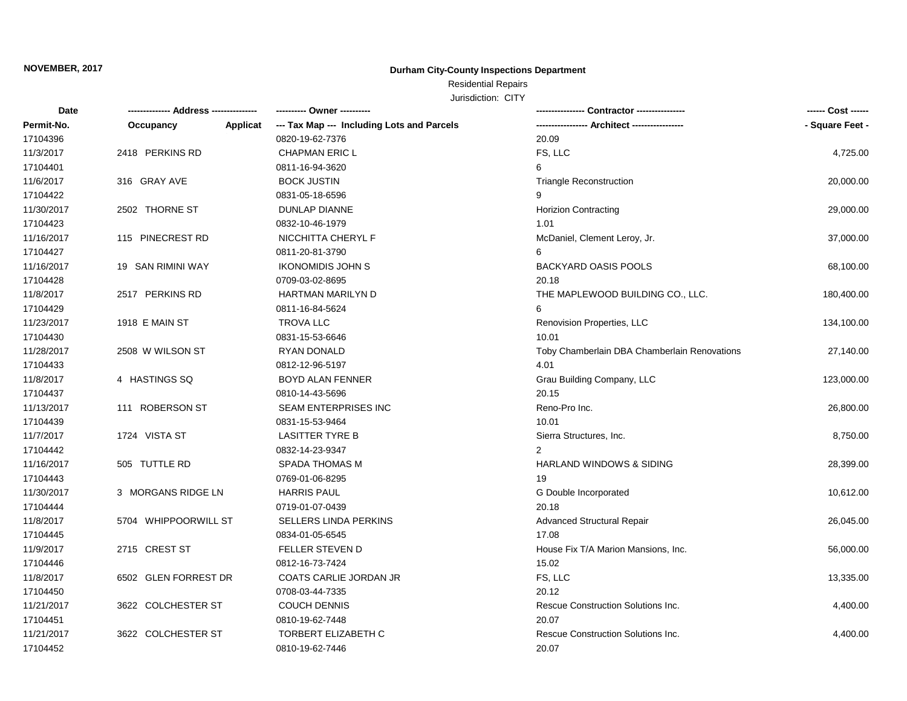## **Durham City-County Inspections Department**

## Residential Repairs

| Date       | -------------- Address --------------- | ---------- Owner ----------                |                                              | ------ Cost ------ |
|------------|----------------------------------------|--------------------------------------------|----------------------------------------------|--------------------|
| Permit-No. | Applicat<br>Occupancy                  | --- Tax Map --- Including Lots and Parcels | -- Architect -----------                     | - Square Feet -    |
| 17104396   |                                        | 0820-19-62-7376                            | 20.09                                        |                    |
| 11/3/2017  | 2418 PERKINS RD                        | <b>CHAPMAN ERIC L</b>                      | FS, LLC                                      | 4,725.00           |
| 17104401   |                                        | 0811-16-94-3620                            | 6                                            |                    |
| 11/6/2017  | 316 GRAY AVE                           | <b>BOCK JUSTIN</b>                         | <b>Triangle Reconstruction</b>               | 20,000.00          |
| 17104422   |                                        | 0831-05-18-6596                            | 9                                            |                    |
| 11/30/2017 | 2502 THORNE ST                         | DUNLAP DIANNE                              | <b>Horizion Contracting</b>                  | 29,000.00          |
| 17104423   |                                        | 0832-10-46-1979                            | 1.01                                         |                    |
| 11/16/2017 | 115 PINECREST RD                       | NICCHITTA CHERYL F                         | McDaniel, Clement Leroy, Jr.                 | 37,000.00          |
| 17104427   |                                        | 0811-20-81-3790                            | 6                                            |                    |
| 11/16/2017 | 19 SAN RIMINI WAY                      | <b>IKONOMIDIS JOHN S</b>                   | <b>BACKYARD OASIS POOLS</b>                  | 68,100.00          |
| 17104428   |                                        | 0709-03-02-8695                            | 20.18                                        |                    |
| 11/8/2017  | 2517 PERKINS RD                        | HARTMAN MARILYN D                          | THE MAPLEWOOD BUILDING CO., LLC.             | 180,400.00         |
| 17104429   |                                        | 0811-16-84-5624                            | 6                                            |                    |
| 11/23/2017 | 1918 E MAIN ST                         | <b>TROVA LLC</b>                           | Renovision Properties, LLC                   | 134,100.00         |
| 17104430   |                                        | 0831-15-53-6646                            | 10.01                                        |                    |
| 11/28/2017 | 2508 W WILSON ST                       | RYAN DONALD                                | Toby Chamberlain DBA Chamberlain Renovations | 27,140.00          |
| 17104433   |                                        | 0812-12-96-5197                            | 4.01                                         |                    |
| 11/8/2017  | 4 HASTINGS SQ                          | <b>BOYD ALAN FENNER</b>                    | Grau Building Company, LLC                   | 123,000.00         |
| 17104437   |                                        | 0810-14-43-5696                            | 20.15                                        |                    |
| 11/13/2017 | 111 ROBERSON ST                        | <b>SEAM ENTERPRISES INC</b>                | Reno-Pro Inc.                                | 26,800.00          |
| 17104439   |                                        | 0831-15-53-9464                            | 10.01                                        |                    |
| 11/7/2017  | 1724 VISTA ST                          | <b>LASITTER TYRE B</b>                     | Sierra Structures, Inc.                      | 8,750.00           |
| 17104442   |                                        | 0832-14-23-9347                            |                                              |                    |
| 11/16/2017 | 505 TUTTLE RD                          | SPADA THOMAS M                             | <b>HARLAND WINDOWS &amp; SIDING</b>          | 28,399.00          |
| 17104443   |                                        | 0769-01-06-8295                            | 19                                           |                    |
| 11/30/2017 | 3 MORGANS RIDGE LN                     | <b>HARRIS PAUL</b>                         | G Double Incorporated                        | 10,612.00          |
| 17104444   |                                        | 0719-01-07-0439                            | 20.18                                        |                    |
| 11/8/2017  | 5704 WHIPPOORWILL ST                   | SELLERS LINDA PERKINS                      | <b>Advanced Structural Repair</b>            | 26,045.00          |
| 17104445   |                                        | 0834-01-05-6545                            | 17.08                                        |                    |
| 11/9/2017  | 2715 CREST ST                          | FELLER STEVEN D                            | House Fix T/A Marion Mansions, Inc.          | 56,000.00          |
| 17104446   |                                        | 0812-16-73-7424                            | 15.02                                        |                    |
| 11/8/2017  | 6502 GLEN FORREST DR                   | COATS CARLIE JORDAN JR                     | FS, LLC                                      | 13,335.00          |
| 17104450   |                                        | 0708-03-44-7335                            | 20.12                                        |                    |
| 11/21/2017 | 3622 COLCHESTER ST                     | <b>COUCH DENNIS</b>                        | Rescue Construction Solutions Inc.           | 4,400.00           |
| 17104451   |                                        | 0810-19-62-7448                            | 20.07                                        |                    |
| 11/21/2017 | 3622 COLCHESTER ST                     | <b>TORBERT ELIZABETH C</b>                 | Rescue Construction Solutions Inc.           | 4,400.00           |
| 17104452   |                                        | 0810-19-62-7446                            | 20.07                                        |                    |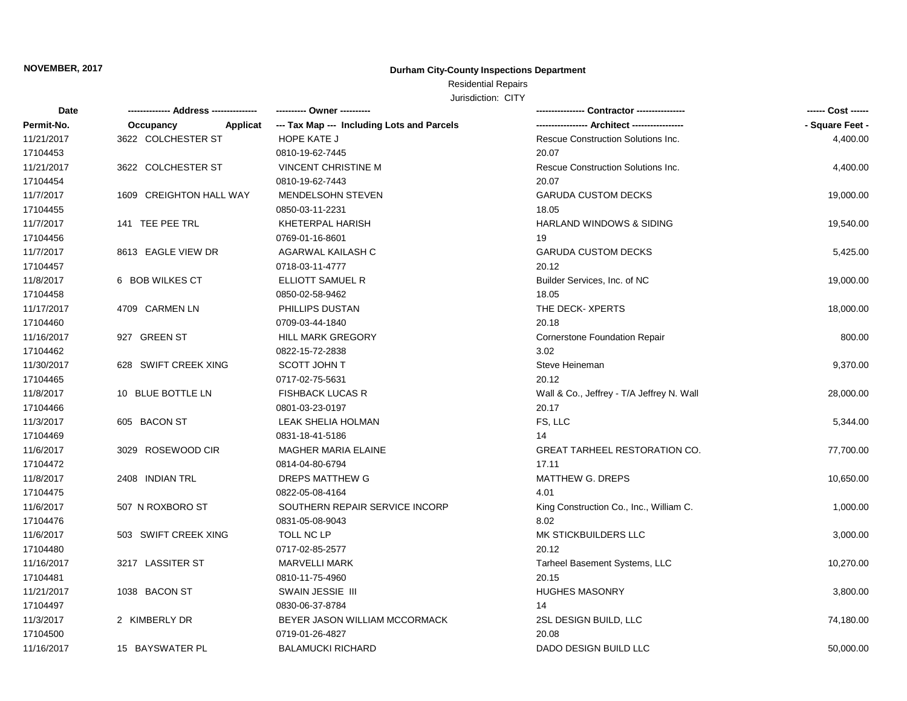## **Durham City-County Inspections Department**

# Residential Repairs

| Date       |                         | ---------- Owner ----------                |                                           |                 |
|------------|-------------------------|--------------------------------------------|-------------------------------------------|-----------------|
| Permit-No. | Applicat<br>Occupancy   | --- Tax Map --- Including Lots and Parcels |                                           | - Square Feet - |
| 11/21/2017 | 3622 COLCHESTER ST      | HOPE KATE J                                | Rescue Construction Solutions Inc.        | 4,400.00        |
| 17104453   |                         | 0810-19-62-7445                            | 20.07                                     |                 |
| 11/21/2017 | 3622 COLCHESTER ST      | <b>VINCENT CHRISTINE M</b>                 | Rescue Construction Solutions Inc.        | 4,400.00        |
| 17104454   |                         | 0810-19-62-7443                            | 20.07                                     |                 |
| 11/7/2017  | 1609 CREIGHTON HALL WAY | <b>MENDELSOHN STEVEN</b>                   | <b>GARUDA CUSTOM DECKS</b>                | 19,000.00       |
| 17104455   |                         | 0850-03-11-2231                            | 18.05                                     |                 |
| 11/7/2017  | 141 TEE PEE TRL         | KHETERPAL HARISH                           | <b>HARLAND WINDOWS &amp; SIDING</b>       | 19,540.00       |
| 17104456   |                         | 0769-01-16-8601                            | 19                                        |                 |
| 11/7/2017  | 8613 EAGLE VIEW DR      | AGARWAL KAILASH C                          | <b>GARUDA CUSTOM DECKS</b>                | 5,425.00        |
| 17104457   |                         | 0718-03-11-4777                            | 20.12                                     |                 |
| 11/8/2017  | 6 BOB WILKES CT         | ELLIOTT SAMUEL R                           | Builder Services, Inc. of NC              | 19,000.00       |
| 17104458   |                         | 0850-02-58-9462                            | 18.05                                     |                 |
| 11/17/2017 | 4709 CARMEN LN          | PHILLIPS DUSTAN                            | THE DECK- XPERTS                          | 18,000.00       |
| 17104460   |                         | 0709-03-44-1840                            | 20.18                                     |                 |
| 11/16/2017 | 927 GREEN ST            | <b>HILL MARK GREGORY</b>                   | <b>Cornerstone Foundation Repair</b>      | 800.00          |
| 17104462   |                         | 0822-15-72-2838                            | 3.02                                      |                 |
| 11/30/2017 | 628 SWIFT CREEK XING    | SCOTT JOHN T                               | Steve Heineman                            | 9,370.00        |
| 17104465   |                         | 0717-02-75-5631                            | 20.12                                     |                 |
| 11/8/2017  | 10 BLUE BOTTLE LN       | <b>FISHBACK LUCAS R</b>                    | Wall & Co., Jeffrey - T/A Jeffrey N. Wall | 28,000.00       |
| 17104466   |                         | 0801-03-23-0197                            | 20.17                                     |                 |
| 11/3/2017  | 605 BACON ST            | LEAK SHELIA HOLMAN                         | FS, LLC                                   | 5,344.00        |
| 17104469   |                         | 0831-18-41-5186                            | 14                                        |                 |
| 11/6/2017  | 3029 ROSEWOOD CIR       | <b>MAGHER MARIA ELAINE</b>                 | <b>GREAT TARHEEL RESTORATION CO.</b>      | 77,700.00       |
| 17104472   |                         | 0814-04-80-6794                            | 17.11                                     |                 |
| 11/8/2017  | 2408 INDIAN TRL         | DREPS MATTHEW G                            | MATTHEW G. DREPS                          | 10,650.00       |
| 17104475   |                         | 0822-05-08-4164                            | 4.01                                      |                 |
| 11/6/2017  | 507 N ROXBORO ST        | SOUTHERN REPAIR SERVICE INCORP             | King Construction Co., Inc., William C.   | 1,000.00        |
| 17104476   |                         | 0831-05-08-9043                            | 8.02                                      |                 |
| 11/6/2017  | 503 SWIFT CREEK XING    | <b>TOLL NC LP</b>                          | MK STICKBUILDERS LLC                      | 3,000.00        |
| 17104480   |                         | 0717-02-85-2577                            | 20.12                                     |                 |
| 11/16/2017 | 3217 LASSITER ST        | <b>MARVELLI MARK</b>                       | Tarheel Basement Systems, LLC             | 10,270.00       |
| 17104481   |                         | 0810-11-75-4960                            | 20.15                                     |                 |
| 11/21/2017 | 1038 BACON ST           | SWAIN JESSIE III                           | <b>HUGHES MASONRY</b>                     | 3,800.00        |
| 17104497   |                         | 0830-06-37-8784                            | 14                                        |                 |
| 11/3/2017  | 2 KIMBERLY DR           | BEYER JASON WILLIAM MCCORMACK              | 2SL DESIGN BUILD, LLC                     | 74,180.00       |
| 17104500   |                         | 0719-01-26-4827                            | 20.08                                     |                 |
| 11/16/2017 | 15 BAYSWATER PL         | <b>BALAMUCKI RICHARD</b>                   | DADO DESIGN BUILD LLC                     | 50,000.00       |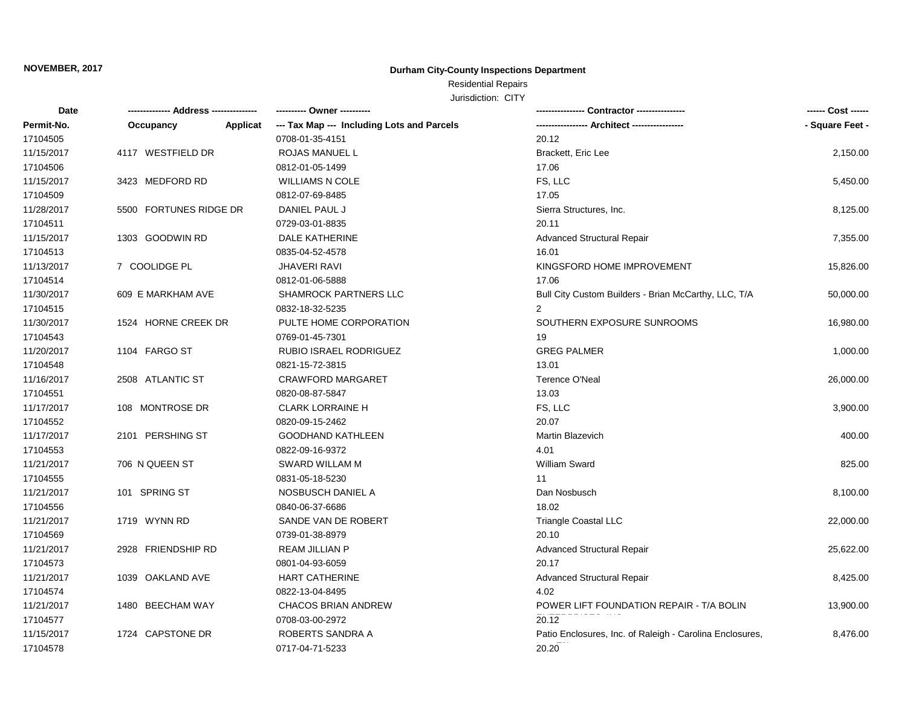## **Durham City-County Inspections Department**

## Residential Repairs

| Date       |                        |          | ---------- Owner ----------                |                                                          | ------ Cost ------ |
|------------|------------------------|----------|--------------------------------------------|----------------------------------------------------------|--------------------|
| Permit-No. | Occupancy              | Applicat | --- Tax Map --- Including Lots and Parcels |                                                          | - Square Feet -    |
| 17104505   |                        |          | 0708-01-35-4151                            | 20.12                                                    |                    |
| 11/15/2017 | 4117 WESTFIELD DR      |          | <b>ROJAS MANUEL L</b>                      | Brackett, Eric Lee                                       | 2,150.00           |
| 17104506   |                        |          | 0812-01-05-1499                            | 17.06                                                    |                    |
| 11/15/2017 | 3423 MEDFORD RD        |          | <b>WILLIAMS N COLE</b>                     | FS, LLC                                                  | 5,450.00           |
| 17104509   |                        |          | 0812-07-69-8485                            | 17.05                                                    |                    |
| 11/28/2017 | 5500 FORTUNES RIDGE DR |          | DANIEL PAUL J                              | Sierra Structures, Inc.                                  | 8,125.00           |
| 17104511   |                        |          | 0729-03-01-8835                            | 20.11                                                    |                    |
| 11/15/2017 | 1303 GOODWIN RD        |          | DALE KATHERINE                             | <b>Advanced Structural Repair</b>                        | 7,355.00           |
| 17104513   |                        |          | 0835-04-52-4578                            | 16.01                                                    |                    |
| 11/13/2017 | 7 COOLIDGE PL          |          | <b>JHAVERI RAVI</b>                        | KINGSFORD HOME IMPROVEMENT                               | 15,826.00          |
| 17104514   |                        |          | 0812-01-06-5888                            | 17.06                                                    |                    |
| 11/30/2017 | 609 E MARKHAM AVE      |          | <b>SHAMROCK PARTNERS LLC</b>               | Bull City Custom Builders - Brian McCarthy, LLC, T/A     | 50,000.00          |
| 17104515   |                        |          | 0832-18-32-5235                            | 2                                                        |                    |
| 11/30/2017 | 1524 HORNE CREEK DR    |          | PULTE HOME CORPORATION                     | SOUTHERN EXPOSURE SUNROOMS                               | 16,980.00          |
| 17104543   |                        |          | 0769-01-45-7301                            | 19                                                       |                    |
| 11/20/2017 | 1104 FARGO ST          |          | <b>RUBIO ISRAEL RODRIGUEZ</b>              | <b>GREG PALMER</b>                                       | 1,000.00           |
| 17104548   |                        |          | 0821-15-72-3815                            | 13.01                                                    |                    |
| 11/16/2017 | 2508 ATLANTIC ST       |          | <b>CRAWFORD MARGARET</b>                   | <b>Terence O'Neal</b>                                    | 26,000.00          |
| 17104551   |                        |          | 0820-08-87-5847                            | 13.03                                                    |                    |
| 11/17/2017 | 108 MONTROSE DR        |          | <b>CLARK LORRAINE H</b>                    | FS, LLC                                                  | 3,900.00           |
| 17104552   |                        |          | 0820-09-15-2462                            | 20.07                                                    |                    |
| 11/17/2017 | 2101 PERSHING ST       |          | <b>GOODHAND KATHLEEN</b>                   | Martin Blazevich                                         | 400.00             |
| 17104553   |                        |          | 0822-09-16-9372                            | 4.01                                                     |                    |
| 11/21/2017 | 706 N QUEEN ST         |          | SWARD WILLAM M                             | William Sward                                            | 825.00             |
| 17104555   |                        |          | 0831-05-18-5230                            | 11                                                       |                    |
| 11/21/2017 | 101 SPRING ST          |          | NOSBUSCH DANIEL A                          | Dan Nosbusch                                             | 8,100.00           |
| 17104556   |                        |          | 0840-06-37-6686                            | 18.02                                                    |                    |
| 11/21/2017 | 1719 WYNN RD           |          | SANDE VAN DE ROBERT                        | <b>Triangle Coastal LLC</b>                              | 22,000.00          |
| 17104569   |                        |          | 0739-01-38-8979                            | 20.10                                                    |                    |
| 11/21/2017 | 2928 FRIENDSHIP RD     |          | <b>REAM JILLIAN P</b>                      | <b>Advanced Structural Repair</b>                        | 25,622.00          |
| 17104573   |                        |          | 0801-04-93-6059                            | 20.17                                                    |                    |
| 11/21/2017 | 1039 OAKLAND AVE       |          | <b>HART CATHERINE</b>                      | <b>Advanced Structural Repair</b>                        | 8,425.00           |
| 17104574   |                        |          | 0822-13-04-8495                            | 4.02                                                     |                    |
| 11/21/2017 | 1480 BEECHAM WAY       |          | <b>CHACOS BRIAN ANDREW</b>                 | POWER LIFT FOUNDATION REPAIR - T/A BOLIN                 | 13,900.00          |
| 17104577   |                        |          | 0708-03-00-2972                            | 20.12                                                    |                    |
| 11/15/2017 | 1724 CAPSTONE DR       |          | ROBERTS SANDRA A                           | Patio Enclosures, Inc. of Raleigh - Carolina Enclosures, | 8,476.00           |
| 17104578   |                        |          | 0717-04-71-5233                            | 20.20                                                    |                    |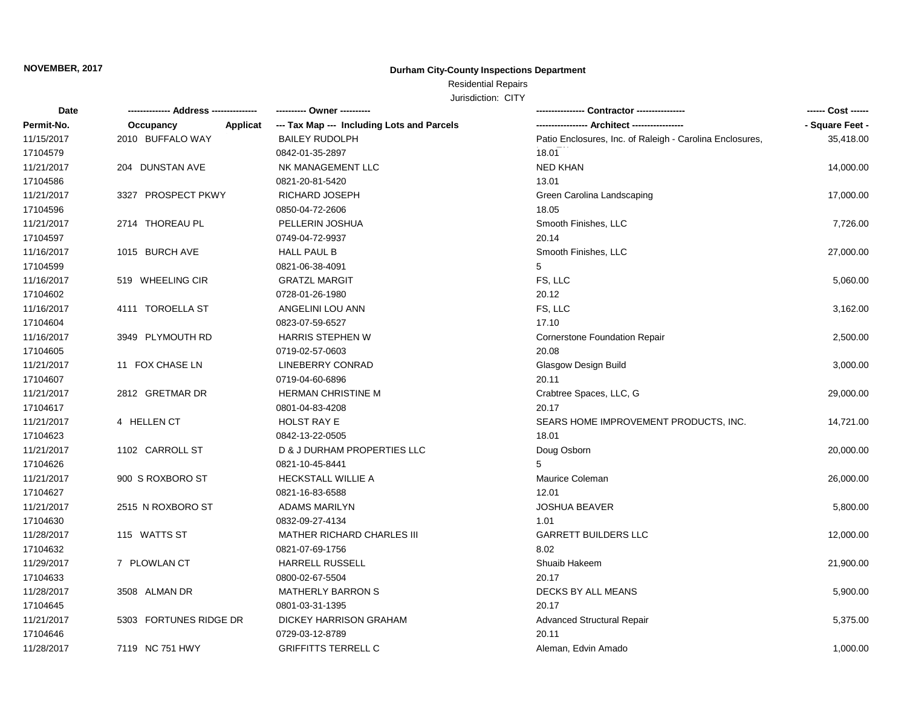## **Durham City-County Inspections Department**

## Residential Repairs

| Date       |                              | ---------- Owner ----------                |                                                          | ------ Cost ------ |
|------------|------------------------------|--------------------------------------------|----------------------------------------------------------|--------------------|
| Permit-No. | <b>Applicat</b><br>Occupancy | --- Tax Map --- Including Lots and Parcels |                                                          | - Square Feet -    |
| 11/15/2017 | 2010 BUFFALO WAY             | <b>BAILEY RUDOLPH</b>                      | Patio Enclosures, Inc. of Raleigh - Carolina Enclosures, | 35,418.00          |
| 17104579   |                              | 0842-01-35-2897                            | 18.01                                                    |                    |
| 11/21/2017 | 204 DUNSTAN AVE              | NK MANAGEMENT LLC                          | <b>NED KHAN</b>                                          | 14,000.00          |
| 17104586   |                              | 0821-20-81-5420                            | 13.01                                                    |                    |
| 11/21/2017 | 3327 PROSPECT PKWY           | RICHARD JOSEPH                             | Green Carolina Landscaping                               | 17,000.00          |
| 17104596   |                              | 0850-04-72-2606                            | 18.05                                                    |                    |
| 11/21/2017 | 2714 THOREAU PL              | PELLERIN JOSHUA                            | Smooth Finishes, LLC                                     | 7,726.00           |
| 17104597   |                              | 0749-04-72-9937                            | 20.14                                                    |                    |
| 11/16/2017 | 1015 BURCH AVE               | HALL PAUL B                                | Smooth Finishes, LLC                                     | 27,000.00          |
| 17104599   |                              | 0821-06-38-4091                            | 5                                                        |                    |
| 11/16/2017 | 519 WHEELING CIR             | <b>GRATZL MARGIT</b>                       | FS, LLC                                                  | 5,060.00           |
| 17104602   |                              | 0728-01-26-1980                            | 20.12                                                    |                    |
| 11/16/2017 | 4111 TOROELLA ST             | ANGELINI LOU ANN                           | FS, LLC                                                  | 3,162.00           |
| 17104604   |                              | 0823-07-59-6527                            | 17.10                                                    |                    |
| 11/16/2017 | 3949 PLYMOUTH RD             | <b>HARRIS STEPHEN W</b>                    | Cornerstone Foundation Repair                            | 2,500.00           |
| 17104605   |                              | 0719-02-57-0603                            | 20.08                                                    |                    |
| 11/21/2017 | 11 FOX CHASE LN              | LINEBERRY CONRAD                           | Glasgow Design Build                                     | 3,000.00           |
| 17104607   |                              | 0719-04-60-6896                            | 20.11                                                    |                    |
| 11/21/2017 | 2812 GRETMAR DR              | <b>HERMAN CHRISTINE M</b>                  | Crabtree Spaces, LLC, G                                  | 29,000.00          |
| 17104617   |                              | 0801-04-83-4208                            | 20.17                                                    |                    |
| 11/21/2017 | 4 HELLEN CT                  | <b>HOLST RAY E</b>                         | SEARS HOME IMPROVEMENT PRODUCTS, INC.                    | 14,721.00          |
| 17104623   |                              | 0842-13-22-0505                            | 18.01                                                    |                    |
| 11/21/2017 | 1102 CARROLL ST              | D & J DURHAM PROPERTIES LLC                | Doug Osborn                                              | 20,000.00          |
| 17104626   |                              | 0821-10-45-8441                            | 5                                                        |                    |
| 11/21/2017 | 900 S ROXBORO ST             | <b>HECKSTALL WILLIE A</b>                  | Maurice Coleman                                          | 26,000.00          |
| 17104627   |                              | 0821-16-83-6588                            | 12.01                                                    |                    |
| 11/21/2017 | 2515 N ROXBORO ST            | <b>ADAMS MARILYN</b>                       | <b>JOSHUA BEAVER</b>                                     | 5,800.00           |
| 17104630   |                              | 0832-09-27-4134                            | 1.01                                                     |                    |
| 11/28/2017 | 115 WATTS ST                 | <b>MATHER RICHARD CHARLES III</b>          | <b>GARRETT BUILDERS LLC</b>                              | 12,000.00          |
| 17104632   |                              | 0821-07-69-1756                            | 8.02                                                     |                    |
| 11/29/2017 | 7 PLOWLAN CT                 | <b>HARRELL RUSSELL</b>                     | Shuaib Hakeem                                            | 21,900.00          |
| 17104633   |                              | 0800-02-67-5504                            | 20.17                                                    |                    |
| 11/28/2017 | 3508 ALMAN DR                | <b>MATHERLY BARRON S</b>                   | DECKS BY ALL MEANS                                       | 5,900.00           |
| 17104645   |                              | 0801-03-31-1395                            | 20.17                                                    |                    |
| 11/21/2017 | 5303 FORTUNES RIDGE DR       | DICKEY HARRISON GRAHAM                     | <b>Advanced Structural Repair</b>                        | 5,375.00           |
| 17104646   |                              | 0729-03-12-8789                            | 20.11                                                    |                    |
| 11/28/2017 | 7119 NC 751 HWY              | <b>GRIFFITTS TERRELL C</b>                 | Aleman, Edvin Amado                                      | 1,000.00           |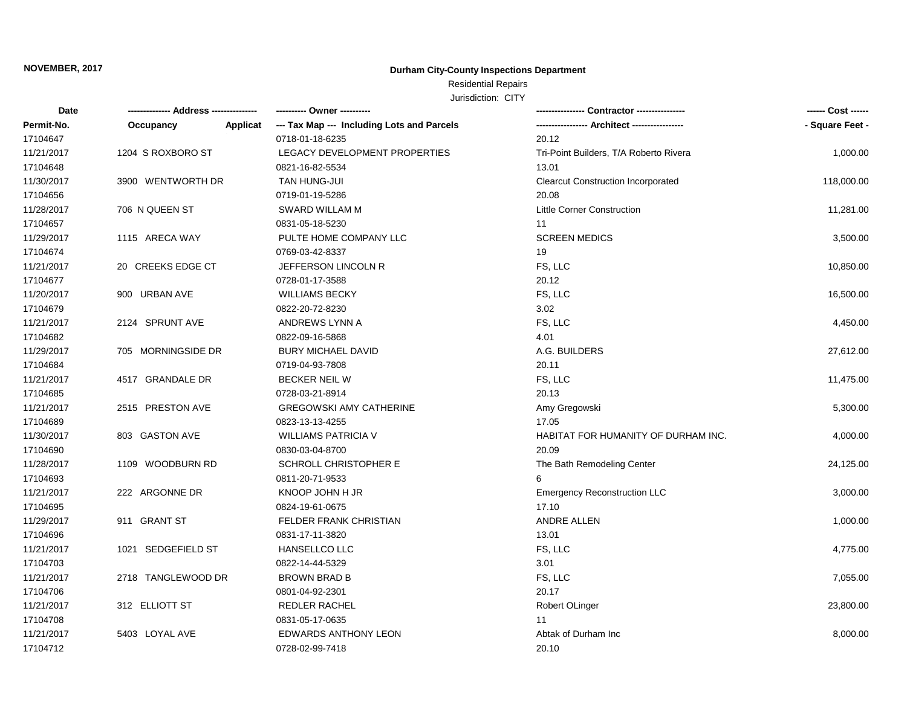## **Durham City-County Inspections Department**

## Residential Repairs

| Date       |                    |          | ---------- Owner ----------                |                                           | ------ Cost ------ |
|------------|--------------------|----------|--------------------------------------------|-------------------------------------------|--------------------|
| Permit-No. | Occupancy          | Applicat | --- Tax Map --- Including Lots and Parcels |                                           | - Square Feet -    |
| 17104647   |                    |          | 0718-01-18-6235                            | 20.12                                     |                    |
| 11/21/2017 | 1204 S ROXBORO ST  |          | LEGACY DEVELOPMENT PROPERTIES              | Tri-Point Builders, T/A Roberto Rivera    | 1,000.00           |
| 17104648   |                    |          | 0821-16-82-5534                            | 13.01                                     |                    |
| 11/30/2017 | 3900 WENTWORTH DR  |          | TAN HUNG-JUI                               | <b>Clearcut Construction Incorporated</b> | 118,000.00         |
| 17104656   |                    |          | 0719-01-19-5286                            | 20.08                                     |                    |
| 11/28/2017 | 706 N QUEEN ST     |          | SWARD WILLAM M                             | Little Corner Construction                | 11,281.00          |
| 17104657   |                    |          | 0831-05-18-5230                            | 11                                        |                    |
| 11/29/2017 | 1115 ARECA WAY     |          | PULTE HOME COMPANY LLC                     | <b>SCREEN MEDICS</b>                      | 3,500.00           |
| 17104674   |                    |          | 0769-03-42-8337                            | 19                                        |                    |
| 11/21/2017 | 20 CREEKS EDGE CT  |          | JEFFERSON LINCOLN R                        | FS, LLC                                   | 10,850.00          |
| 17104677   |                    |          | 0728-01-17-3588                            | 20.12                                     |                    |
| 11/20/2017 | 900 URBAN AVE      |          | <b>WILLIAMS BECKY</b>                      | FS, LLC                                   | 16,500.00          |
| 17104679   |                    |          | 0822-20-72-8230                            | 3.02                                      |                    |
| 11/21/2017 | 2124 SPRUNT AVE    |          | ANDREWS LYNN A                             | FS, LLC                                   | 4,450.00           |
| 17104682   |                    |          | 0822-09-16-5868                            | 4.01                                      |                    |
| 11/29/2017 | 705 MORNINGSIDE DR |          | <b>BURY MICHAEL DAVID</b>                  | A.G. BUILDERS                             | 27,612.00          |
| 17104684   |                    |          | 0719-04-93-7808                            | 20.11                                     |                    |
| 11/21/2017 | 4517 GRANDALE DR   |          | <b>BECKER NEIL W</b>                       | FS, LLC                                   | 11,475.00          |
| 17104685   |                    |          | 0728-03-21-8914                            | 20.13                                     |                    |
| 11/21/2017 | 2515 PRESTON AVE   |          | <b>GREGOWSKI AMY CATHERINE</b>             | Amy Gregowski                             | 5,300.00           |
| 17104689   |                    |          | 0823-13-13-4255                            | 17.05                                     |                    |
| 11/30/2017 | 803 GASTON AVE     |          | <b>WILLIAMS PATRICIA V</b>                 | HABITAT FOR HUMANITY OF DURHAM INC.       | 4,000.00           |
| 17104690   |                    |          | 0830-03-04-8700                            | 20.09                                     |                    |
| 11/28/2017 | 1109 WOODBURN RD   |          | SCHROLL CHRISTOPHER E                      | The Bath Remodeling Center                | 24,125.00          |
| 17104693   |                    |          | 0811-20-71-9533                            |                                           |                    |
| 11/21/2017 | 222 ARGONNE DR     |          | KNOOP JOHN H JR                            | <b>Emergency Reconstruction LLC</b>       | 3,000.00           |
| 17104695   |                    |          | 0824-19-61-0675                            | 17.10                                     |                    |
| 11/29/2017 | 911 GRANT ST       |          | FELDER FRANK CHRISTIAN                     | ANDRE ALLEN                               | 1,000.00           |
| 17104696   |                    |          | 0831-17-11-3820                            | 13.01                                     |                    |
| 11/21/2017 | 1021 SEDGEFIELD ST |          | HANSELLCO LLC                              | FS, LLC                                   | 4,775.00           |
| 17104703   |                    |          | 0822-14-44-5329                            | 3.01                                      |                    |
| 11/21/2017 | 2718 TANGLEWOOD DR |          | <b>BROWN BRAD B</b>                        | FS, LLC                                   | 7,055.00           |
| 17104706   |                    |          | 0801-04-92-2301                            | 20.17                                     |                    |
| 11/21/2017 | 312 ELLIOTT ST     |          | REDLER RACHEL                              | Robert OLinger                            | 23,800.00          |
| 17104708   |                    |          | 0831-05-17-0635                            | 11                                        |                    |
| 11/21/2017 | 5403 LOYAL AVE     |          | <b>EDWARDS ANTHONY LEON</b>                | Abtak of Durham Inc                       | 8,000.00           |
| 17104712   |                    |          | 0728-02-99-7418                            | 20.10                                     |                    |